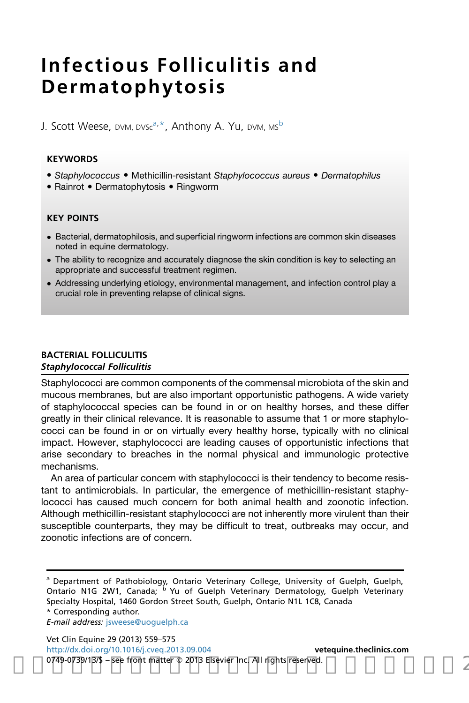# Infectious Folliculitis and Dermatophytosis

J. Scott Weese, <sub>DVM, DVsc<sup>a, \*</sup>, Anthony A. Yu, <sub>DVM, MS</sub>b</sub>

## **KEYWORDS**

- *Staphylococcus* Methicillin-resistant *Staphylococcus aureus Dermatophilus*
- Rainrot Dermatophytosis Ringworm

## KEY POINTS

- Bacterial, dermatophilosis, and superficial ringworm infections are common skin diseases noted in equine dermatology.
- The ability to recognize and accurately diagnose the skin condition is key to selecting an appropriate and successful treatment regimen.
- Addressing underlying etiology, environmental management, and infection control play a crucial role in preventing relapse of clinical signs.

## BACTERIAL FOLLICULITIS Staphylococcal Folliculitis

Staphylococci are common components of the commensal microbiota of the skin and mucous membranes, but are also important opportunistic pathogens. A wide variety of staphylococcal species can be found in or on healthy horses, and these differ greatly in their clinical relevance. It is reasonable to assume that 1 or more staphylococci can be found in or on virtually every healthy horse, typically with no clinical impact. However, staphylococci are leading causes of opportunistic infections that arise secondary to breaches in the normal physical and immunologic protective mechanisms.

An area of particular concern with staphylococci is their tendency to become resistant to antimicrobials. In particular, the emergence of methicillin-resistant staphylococci has caused much concern for both animal health and zoonotic infection. Although methicillin-resistant staphylococci are not inherently more virulent than their susceptible counterparts, they may be difficult to treat, outbreaks may occur, and zoonotic infections are of concern.

<sup>a</sup> Department of Pathobiology, Ontario Veterinary College, University of Guelph, Guelph, Ontario N1G 2W1, Canada; <sup>b</sup> Yu of Guelph Veterinary Dermatology, Guelph Veterinary Specialty Hospital, 1460 Gordon Street South, Guelph, Ontario N1L 1C8, Canada \* Corresponding author.

E-mail address: [jsweese@uoguelph.ca](mailto:jsweese@uoguelph.ca)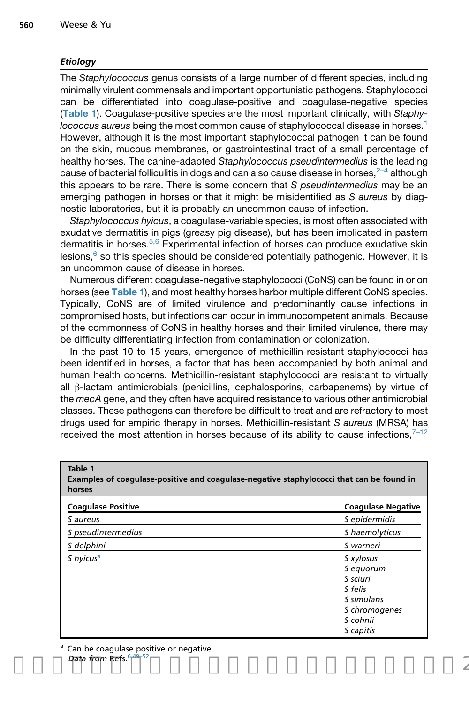## Etiology

The *Staphylococcus* genus consists of a large number of different species, including minimally virulent commensals and important opportunistic pathogens. Staphylococci can be differentiated into coagulase-positive and coagulase-negative species (Table 1). Coagulase-positive species are the most important clinically, with *Staphylococcus aureus* being the most common cause of staphylococcal disease in horses.<sup>[1](#page-14-0)</sup> However, although it is the most important staphylococcal pathogen it can be found on the skin, mucous membranes, or gastrointestinal tract of a small percentage of healthy horses. The canine-adapted *Staphylococcus pseudintermedius* is the leading cause of bacterial folliculitis in dogs and can also cause disease in horses, $2-4$  although this appears to be rare. There is some concern that *S pseudintermedius* may be an emerging pathogen in horses or that it might be misidentified as *S aureus* by diagnostic laboratories, but it is probably an uncommon cause of infection.

*Staphylococcus hyicus*, a coagulase-variable species, is most often associated with exudative dermatitis in pigs (greasy pig disease), but has been implicated in pastern dermatitis in horses.[5,6](#page-14-0) Experimental infection of horses can produce exudative skin lesions, $6$  so this species should be considered potentially pathogenic. However, it is an uncommon cause of disease in horses.

Numerous different coagulase-negative staphylococci (CoNS) can be found in or on horses (see Table 1), and most healthy horses harbor multiple different CoNS species. Typically, CoNS are of limited virulence and predominantly cause infections in compromised hosts, but infections can occur in immunocompetent animals. Because of the commonness of CoNS in healthy horses and their limited virulence, there may be difficulty differentiating infection from contamination or colonization.

In the past 10 to 15 years, emergence of methicillin-resistant staphylococci has been identified in horses, a factor that has been accompanied by both animal and human health concerns. Methicillin-resistant staphylococci are resistant to virtually all  $\beta$ -lactam antimicrobials (penicillins, cephalosporins, carbapenems) by virtue of the *mecA* gene, and they often have acquired resistance to various other antimicrobial classes. These pathogens can therefore be difficult to treat and are refractory to most drugs used for empiric therapy in horses. Methicillin-resistant *S aureus* (MRSA) has received the most attention in horses because of its ability to cause infections,  $7-12$ 

| Table 1<br>Examples of coagulase-positive and coagulase-negative staphylococci that can be found in<br>horses |                                                                                                       |
|---------------------------------------------------------------------------------------------------------------|-------------------------------------------------------------------------------------------------------|
| <b>Coagulase Positive</b>                                                                                     | <b>Coagulase Negative</b>                                                                             |
| S aureus                                                                                                      | S epidermidis                                                                                         |
| S pseudintermedius                                                                                            | S haemolyticus                                                                                        |
| S delphini                                                                                                    | S warneri                                                                                             |
| S hyicus <sup>a</sup>                                                                                         | S xylosus<br>S equorum<br>S sciuri<br>S felis<br>S simulans<br>S chromogenes<br>S cohnii<br>S capitis |

**Solution**  $\mathsf{Rests}\xspace^{6,49-52}$  . The contract of the set of the contract of the contract of the contract of the contract of the contract of the contract of the contract of the contract of the contract of the contract of Can be coagulase positive or negative. Data from Refs.<sup>6,49–52</sup>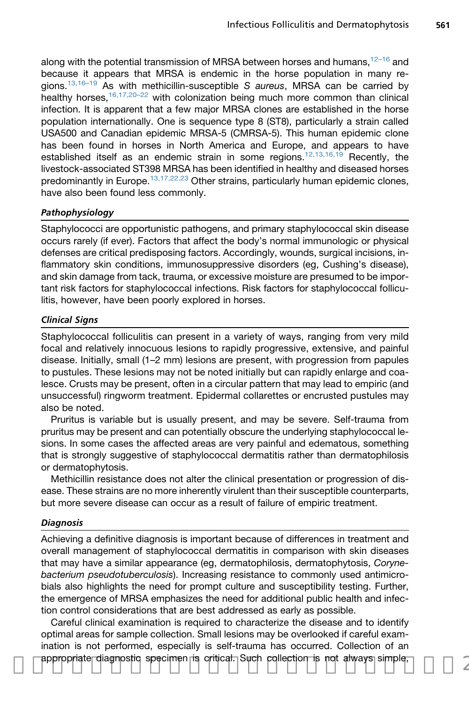along with the potential transmission of MRSA between horses and humans,  $12^{-16}$  and because it appears that MRSA is endemic in the horse population in many regions[.13,16–19](#page-15-0) As with methicillin-susceptible *S aureus*, MRSA can be carried by healthy horses,<sup>[16,17,20–22](#page-15-0)</sup> with colonization being much more common than clinical infection. It is apparent that a few major MRSA clones are established in the horse population internationally. One is sequence type 8 (ST8), particularly a strain called USA500 and Canadian epidemic MRSA-5 (CMRSA-5). This human epidemic clone has been found in horses in North America and Europe, and appears to have established itself as an endemic strain in some regions.<sup>[12,13,16,19](#page-15-0)</sup> Recently, the livestock-associated ST398 MRSA has been identified in healthy and diseased horses predominantly in Europe.<sup>[13,17,22,23](#page-15-0)</sup> Other strains, particularly human epidemic clones, have also been found less commonly.

# Pathophysiology

Staphylococci are opportunistic pathogens, and primary staphylococcal skin disease occurs rarely (if ever). Factors that affect the body's normal immunologic or physical defenses are critical predisposing factors. Accordingly, wounds, surgical incisions, inflammatory skin conditions, immunosuppressive disorders (eg, Cushing's disease), and skin damage from tack, trauma, or excessive moisture are presumed to be important risk factors for staphylococcal infections. Risk factors for staphylococcal folliculitis, however, have been poorly explored in horses.

# Clinical Signs

Staphylococcal folliculitis can present in a variety of ways, ranging from very mild focal and relatively innocuous lesions to rapidly progressive, extensive, and painful disease. Initially, small (1–2 mm) lesions are present, with progression from papules to pustules. These lesions may not be noted initially but can rapidly enlarge and coalesce. Crusts may be present, often in a circular pattern that may lead to empiric (and unsuccessful) ringworm treatment. Epidermal collarettes or encrusted pustules may also be noted.

Pruritus is variable but is usually present, and may be severe. Self-trauma from pruritus may be present and can potentially obscure the underlying staphylococcal lesions. In some cases the affected areas are very painful and edematous, something that is strongly suggestive of staphylococcal dermatitis rather than dermatophilosis or dermatophytosis.

Methicillin resistance does not alter the clinical presentation or progression of disease. These strains are no more inherently virulent than their susceptible counterparts, but more severe disease can occur as a result of failure of empiric treatment.

## **Diagnosis**

Achieving a definitive diagnosis is important because of differences in treatment and overall management of staphylococcal dermatitis in comparison with skin diseases that may have a similar appearance (eg, dermatophilosis, dermatophytosis, *Corynebacterium pseudotuberculosis*). Increasing resistance to commonly used antimicrobials also highlights the need for prompt culture and susceptibility testing. Further, the emergence of MRSA emphasizes the need for additional public health and infection control considerations that are best addressed as early as possible.

appropriate diagnostic specimen is critical. Such collection is not always simple,<br>4 Careful clinical examination is required to characterize the disease and to identify optimal areas for sample collection. Small lesions may be overlooked if careful examination is not performed, especially is self-trauma has occurred. Collection of an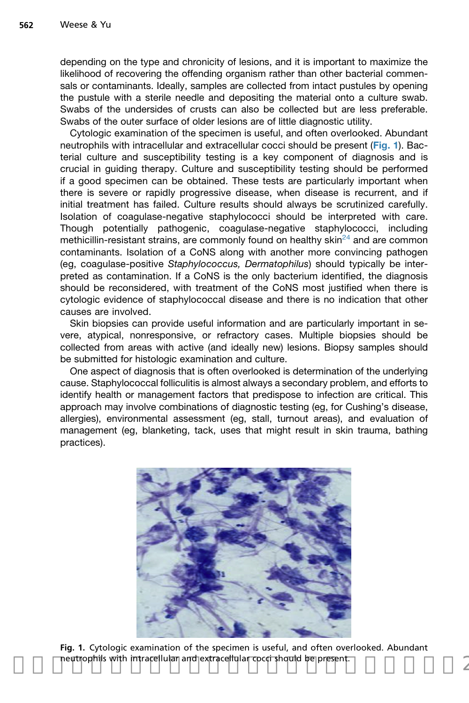depending on the type and chronicity of lesions, and it is important to maximize the likelihood of recovering the offending organism rather than other bacterial commensals or contaminants. Ideally, samples are collected from intact pustules by opening the pustule with a sterile needle and depositing the material onto a culture swab. Swabs of the undersides of crusts can also be collected but are less preferable. Swabs of the outer surface of older lesions are of little diagnostic utility.

Cytologic examination of the specimen is useful, and often overlooked. Abundant neutrophils with intracellular and extracellular cocci should be present (Fig. 1). Bacterial culture and susceptibility testing is a key component of diagnosis and is crucial in guiding therapy. Culture and susceptibility testing should be performed if a good specimen can be obtained. These tests are particularly important when there is severe or rapidly progressive disease, when disease is recurrent, and if initial treatment has failed. Culture results should always be scrutinized carefully. Isolation of coagulase-negative staphylococci should be interpreted with care. Though potentially pathogenic, coagulase-negative staphylococci, including methicillin-resistant strains, are commonly found on healthy skin<sup>[24](#page-15-0)</sup> and are common contaminants. Isolation of a CoNS along with another more convincing pathogen (eg, coagulase-positive *Staphylococcus, Dermatophilus*) should typically be interpreted as contamination. If a CoNS is the only bacterium identified, the diagnosis should be reconsidered, with treatment of the CoNS most justified when there is cytologic evidence of staphylococcal disease and there is no indication that other causes are involved.

Skin biopsies can provide useful information and are particularly important in severe, atypical, nonresponsive, or refractory cases. Multiple biopsies should be collected from areas with active (and ideally new) lesions. Biopsy samples should be submitted for histologic examination and culture.

One aspect of diagnosis that is often overlooked is determination of the underlying cause. Staphylococcal folliculitis is almost always a secondary problem, and efforts to identify health or management factors that predispose to infection are critical. This approach may involve combinations of diagnostic testing (eg, for Cushing's disease, allergies), environmental assessment (eg, stall, turnout areas), and evaluation of management (eg, blanketing, tack, uses that might result in skin trauma, bathing practices).



neutrophils with intracellular and extracellular cocci should be present.<br>4 Fig. 1. Cytologic examination of the specimen is useful, and often overlooked. Abundant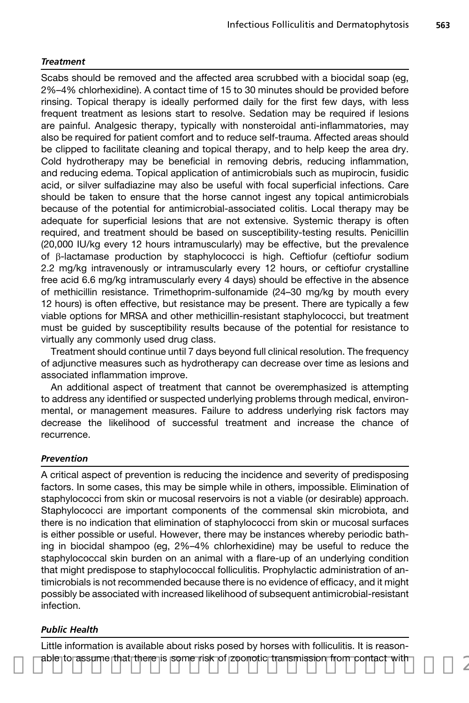# Treatment

Scabs should be removed and the affected area scrubbed with a biocidal soap (eg, 2%–4% chlorhexidine). A contact time of 15 to 30 minutes should be provided before rinsing. Topical therapy is ideally performed daily for the first few days, with less frequent treatment as lesions start to resolve. Sedation may be required if lesions are painful. Analgesic therapy, typically with nonsteroidal anti-inflammatories, may also be required for patient comfort and to reduce self-trauma. Affected areas should be clipped to facilitate cleaning and topical therapy, and to help keep the area dry. Cold hydrotherapy may be beneficial in removing debris, reducing inflammation, and reducing edema. Topical application of antimicrobials such as mupirocin, fusidic acid, or silver sulfadiazine may also be useful with focal superficial infections. Care should be taken to ensure that the horse cannot ingest any topical antimicrobials because of the potential for antimicrobial-associated colitis. Local therapy may be adequate for superficial lesions that are not extensive. Systemic therapy is often required, and treatment should be based on susceptibility-testing results. Penicillin (20,000 IU/kg every 12 hours intramuscularly) may be effective, but the prevalence of  $\beta$ -lactamase production by staphylococci is high. Ceftiofur (ceftiofur sodium 2.2 mg/kg intravenously or intramuscularly every 12 hours, or ceftiofur crystalline free acid 6.6 mg/kg intramuscularly every 4 days) should be effective in the absence of methicillin resistance. Trimethoprim-sulfonamide (24–30 mg/kg by mouth every 12 hours) is often effective, but resistance may be present. There are typically a few viable options for MRSA and other methicillin-resistant staphylococci, but treatment must be guided by susceptibility results because of the potential for resistance to virtually any commonly used drug class.

Treatment should continue until 7 days beyond full clinical resolution. The frequency of adjunctive measures such as hydrotherapy can decrease over time as lesions and associated inflammation improve.

An additional aspect of treatment that cannot be overemphasized is attempting to address any identified or suspected underlying problems through medical, environmental, or management measures. Failure to address underlying risk factors may decrease the likelihood of successful treatment and increase the chance of recurrence.

## Prevention

A critical aspect of prevention is reducing the incidence and severity of predisposing factors. In some cases, this may be simple while in others, impossible. Elimination of staphylococci from skin or mucosal reservoirs is not a viable (or desirable) approach. Staphylococci are important components of the commensal skin microbiota, and there is no indication that elimination of staphylococci from skin or mucosal surfaces is either possible or useful. However, there may be instances whereby periodic bathing in biocidal shampoo (eg, 2%–4% chlorhexidine) may be useful to reduce the staphylococcal skin burden on an animal with a flare-up of an underlying condition that might predispose to staphylococcal folliculitis. Prophylactic administration of antimicrobials is not recommended because there is no evidence of efficacy, and it might possibly be associated with increased likelihood of subsequent antimicrobial-resistant infection.

# Public Health

able to assume that there is some risk of zoonotic transmission from contact with  $\epsilon$ Little information is available about risks posed by horses with folliculitis. It is reason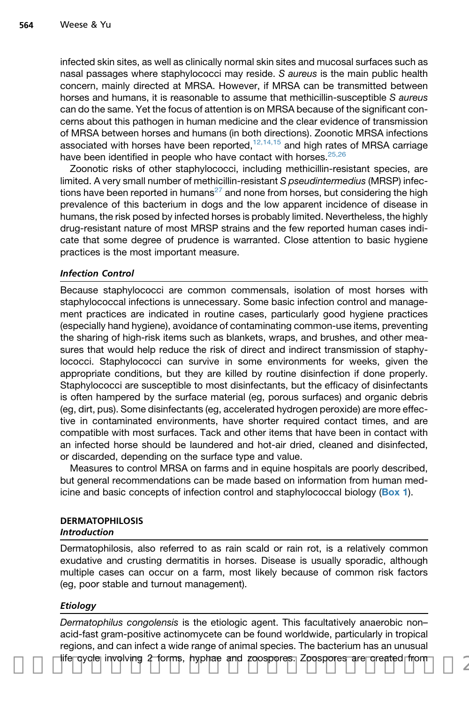infected skin sites, as well as clinically normal skin sites and mucosal surfaces such as nasal passages where staphylococci may reside. *S aureus* is the main public health concern, mainly directed at MRSA. However, if MRSA can be transmitted between horses and humans, it is reasonable to assume that methicillin-susceptible *S aureus* can do the same. Yet the focus of attention is on MRSA because of the significant concerns about this pathogen in human medicine and the clear evidence of transmission of MRSA between horses and humans (in both directions). Zoonotic MRSA infections associated with horses have been reported, $12,14,15$  and high rates of MRSA carriage have been identified in people who have contact with horses. $25,26$ 

Zoonotic risks of other staphylococci, including methicillin-resistant species, are limited. A very small number of methicillin-resistant *S pseudintermedius* (MRSP) infec-tions have been reported in humans<sup>[27](#page-15-0)</sup> and none from horses, but considering the high prevalence of this bacterium in dogs and the low apparent incidence of disease in humans, the risk posed by infected horses is probably limited. Nevertheless, the highly drug-resistant nature of most MRSP strains and the few reported human cases indicate that some degree of prudence is warranted. Close attention to basic hygiene practices is the most important measure.

## Infection Control

Because staphylococci are common commensals, isolation of most horses with staphylococcal infections is unnecessary. Some basic infection control and management practices are indicated in routine cases, particularly good hygiene practices (especially hand hygiene), avoidance of contaminating common-use items, preventing the sharing of high-risk items such as blankets, wraps, and brushes, and other measures that would help reduce the risk of direct and indirect transmission of staphylococci. Staphylococci can survive in some environments for weeks, given the appropriate conditions, but they are killed by routine disinfection if done properly. Staphylococci are susceptible to most disinfectants, but the efficacy of disinfectants is often hampered by the surface material (eg, porous surfaces) and organic debris (eg, dirt, pus). Some disinfectants (eg, accelerated hydrogen peroxide) are more effective in contaminated environments, have shorter required contact times, and are compatible with most surfaces. Tack and other items that have been in contact with an infected horse should be laundered and hot-air dried, cleaned and disinfected, or discarded, depending on the surface type and value.

Measures to control MRSA on farms and in equine hospitals are poorly described, but general recommendations can be made based on information from human med-icine and basic concepts of infection control and staphylococcal biology ([Box 1](#page-6-0)).

#### DERMATOPHILOSIS Introduction

Dermatophilosis, also referred to as rain scald or rain rot, is a relatively common exudative and crusting dermatitis in horses. Disease is usually sporadic, although multiple cases can occur on a farm, most likely because of common risk factors (eg, poor stable and turnout management).

# Etiology

life cycle involving 2 forms, hyphae and zoospores. Zoospores are created from  $\ell$ *Dermatophilus congolensis* is the etiologic agent. This facultatively anaerobic non– acid-fast gram-positive actinomycete can be found worldwide, particularly in tropical regions, and can infect a wide range of animal species. The bacterium has an unusual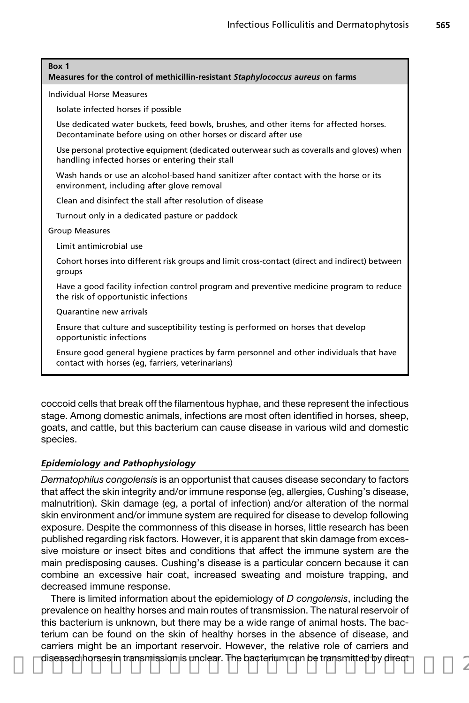<span id="page-6-0"></span>

| Box 1<br>Measures for the control of methicillin-resistant Staphylococcus aureus on farms                                                                 |  |
|-----------------------------------------------------------------------------------------------------------------------------------------------------------|--|
| <b>Individual Horse Measures</b>                                                                                                                          |  |
| Isolate infected horses if possible                                                                                                                       |  |
| Use dedicated water buckets, feed bowls, brushes, and other items for affected horses.<br>Decontaminate before using on other horses or discard after use |  |
| Use personal protective equipment (dedicated outerwear such as coveralls and gloves) when<br>handling infected horses or entering their stall             |  |
| Wash hands or use an alcohol-based hand sanitizer after contact with the horse or its<br>environment, including after glove removal                       |  |
| Clean and disinfect the stall after resolution of disease                                                                                                 |  |
| Turnout only in a dedicated pasture or paddock                                                                                                            |  |
| <b>Group Measures</b>                                                                                                                                     |  |
| Limit antimicrobial use                                                                                                                                   |  |
| Cohort horses into different risk groups and limit cross-contact (direct and indirect) between<br>groups                                                  |  |
| Have a good facility infection control program and preventive medicine program to reduce<br>the risk of opportunistic infections                          |  |
| <b>Ouarantine new arrivals</b>                                                                                                                            |  |
| Ensure that culture and susceptibility testing is performed on horses that develop<br>opportunistic infections                                            |  |
| Ensure good general hygiene practices by farm personnel and other individuals that have<br>contact with horses (eq. farriers, veterinarians)              |  |

coccoid cells that break off the filamentous hyphae, and these represent the infectious stage. Among domestic animals, infections are most often identified in horses, sheep, goats, and cattle, but this bacterium can cause disease in various wild and domestic species.

# Epidemiology and Pathophysiology

*Dermatophilus congolensis* is an opportunist that causes disease secondary to factors that affect the skin integrity and/or immune response (eg, allergies, Cushing's disease, malnutrition). Skin damage (eg, a portal of infection) and/or alteration of the normal skin environment and/or immune system are required for disease to develop following exposure. Despite the commonness of this disease in horses, little research has been published regarding risk factors. However, it is apparent that skin damage from excessive moisture or insect bites and conditions that affect the immune system are the main predisposing causes. Cushing's disease is a particular concern because it can combine an excessive hair coat, increased sweating and moisture trapping, and decreased immune response.

diseased horses in transmission is unclear. The bacterium can be transmitted by direct  $\ell$ There is limited information about the epidemiology of *D congolensis*, including the prevalence on healthy horses and main routes of transmission. The natural reservoir of this bacterium is unknown, but there may be a wide range of animal hosts. The bacterium can be found on the skin of healthy horses in the absence of disease, and carriers might be an important reservoir. However, the relative role of carriers and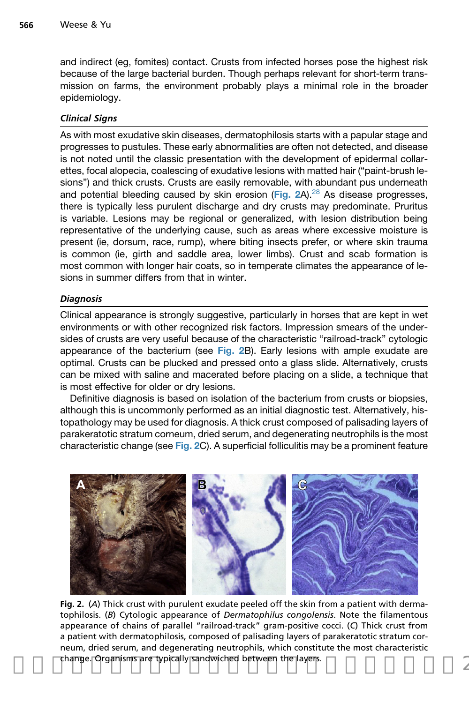and indirect (eg, fomites) contact. Crusts from infected horses pose the highest risk because of the large bacterial burden. Though perhaps relevant for short-term transmission on farms, the environment probably plays a minimal role in the broader epidemiology.

# Clinical Signs

As with most exudative skin diseases, dermatophilosis starts with a papular stage and progresses to pustules. These early abnormalities are often not detected, and disease is not noted until the classic presentation with the development of epidermal collarettes, focal alopecia, coalescing of exudative lesions with matted hair ("paint-brush lesions") and thick crusts. Crusts are easily removable, with abundant pus underneath and potential bleeding caused by skin erosion (Fig. 2A).<sup>28</sup> As disease progresses, there is typically less purulent discharge and dry crusts may predominate. Pruritus is variable. Lesions may be regional or generalized, with lesion distribution being representative of the underlying cause, such as areas where excessive moisture is present (ie, dorsum, race, rump), where biting insects prefer, or where skin trauma is common (ie, girth and saddle area, lower limbs). Crust and scab formation is most common with longer hair coats, so in temperate climates the appearance of lesions in summer differs from that in winter.

# **Diagnosis**

Clinical appearance is strongly suggestive, particularly in horses that are kept in wet environments or with other recognized risk factors. Impression smears of the undersides of crusts are very useful because of the characteristic "railroad-track" cytologic appearance of the bacterium (see Fig. 2B). Early lesions with ample exudate are optimal. Crusts can be plucked and pressed onto a glass slide. Alternatively, crusts can be mixed with saline and macerated before placing on a slide, a technique that is most effective for older or dry lesions.

Definitive diagnosis is based on isolation of the bacterium from crusts or biopsies, although this is uncommonly performed as an initial diagnostic test. Alternatively, histopathology may be used for diagnosis. A thick crust composed of palisading layers of parakeratotic stratum corneum, dried serum, and degenerating neutrophils is the most characteristic change (see Fig. 2C). A superficial folliculitis may be a prominent feature



change. Organisms are typically sandwiched between the layers.<br>4 Fig. 2. (A) Thick crust with purulent exudate peeled off the skin from a patient with dermatophilosis. (B) Cytologic appearance of Dermatophilus congolensis. Note the filamentous appearance of chains of parallel "railroad-track" gram-positive cocci. (C) Thick crust from a patient with dermatophilosis, composed of palisading layers of parakeratotic stratum corneum, dried serum, and degenerating neutrophils, which constitute the most characteristic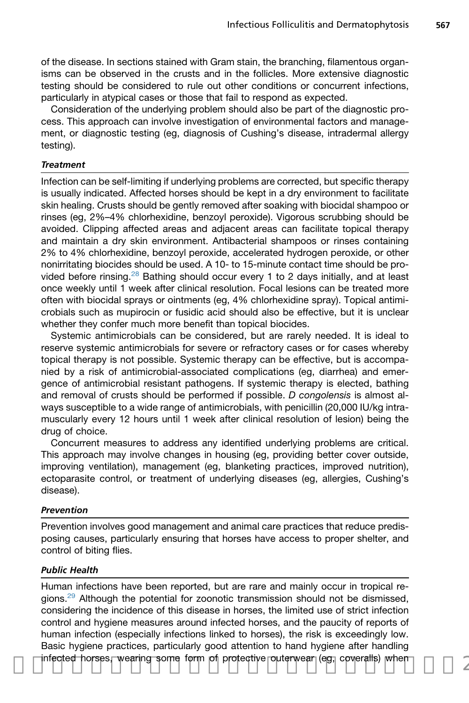of the disease. In sections stained with Gram stain, the branching, filamentous organisms can be observed in the crusts and in the follicles. More extensive diagnostic testing should be considered to rule out other conditions or concurrent infections, particularly in atypical cases or those that fail to respond as expected.

Consideration of the underlying problem should also be part of the diagnostic process. This approach can involve investigation of environmental factors and management, or diagnostic testing (eg, diagnosis of Cushing's disease, intradermal allergy testing).

#### **Treatment**

Infection can be self-limiting if underlying problems are corrected, but specific therapy is usually indicated. Affected horses should be kept in a dry environment to facilitate skin healing. Crusts should be gently removed after soaking with biocidal shampoo or rinses (eg, 2%–4% chlorhexidine, benzoyl peroxide). Vigorous scrubbing should be avoided. Clipping affected areas and adjacent areas can facilitate topical therapy and maintain a dry skin environment. Antibacterial shampoos or rinses containing 2% to 4% chlorhexidine, benzoyl peroxide, accelerated hydrogen peroxide, or other nonirritating biocides should be used. A 10- to 15-minute contact time should be pro-vided before rinsing.<sup>[28](#page-15-0)</sup> Bathing should occur every 1 to 2 days initially, and at least once weekly until 1 week after clinical resolution. Focal lesions can be treated more often with biocidal sprays or ointments (eg, 4% chlorhexidine spray). Topical antimicrobials such as mupirocin or fusidic acid should also be effective, but it is unclear whether they confer much more benefit than topical biocides.

Systemic antimicrobials can be considered, but are rarely needed. It is ideal to reserve systemic antimicrobials for severe or refractory cases or for cases whereby topical therapy is not possible. Systemic therapy can be effective, but is accompanied by a risk of antimicrobial-associated complications (eg, diarrhea) and emergence of antimicrobial resistant pathogens. If systemic therapy is elected, bathing and removal of crusts should be performed if possible. *D congolensis* is almost always susceptible to a wide range of antimicrobials, with penicillin (20,000 IU/kg intramuscularly every 12 hours until 1 week after clinical resolution of lesion) being the drug of choice.

Concurrent measures to address any identified underlying problems are critical. This approach may involve changes in housing (eg, providing better cover outside, improving ventilation), management (eg, blanketing practices, improved nutrition), ectoparasite control, or treatment of underlying diseases (eg, allergies, Cushing's disease).

#### Prevention

Prevention involves good management and animal care practices that reduce predisposing causes, particularly ensuring that horses have access to proper shelter, and control of biting flies.

# Public Health

infected horses, wearing some form of protective outerwear (eg, coveralls) when  $\ell$ Human infections have been reported, but are rare and mainly occur in tropical regions.<sup>29</sup> Although the potential for zoonotic transmission should not be dismissed, considering the incidence of this disease in horses, the limited use of strict infection control and hygiene measures around infected horses, and the paucity of reports of human infection (especially infections linked to horses), the risk is exceedingly low. Basic hygiene practices, particularly good attention to hand hygiene after handling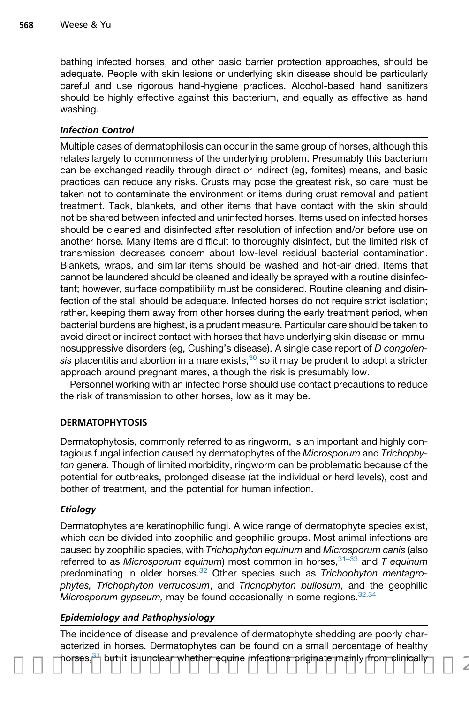bathing infected horses, and other basic barrier protection approaches, should be adequate. People with skin lesions or underlying skin disease should be particularly careful and use rigorous hand-hygiene practices. Alcohol-based hand sanitizers should be highly effective against this bacterium, and equally as effective as hand washing.

# Infection Control

Multiple cases of dermatophilosis can occur in the same group of horses, although this relates largely to commonness of the underlying problem. Presumably this bacterium can be exchanged readily through direct or indirect (eg, fomites) means, and basic practices can reduce any risks. Crusts may pose the greatest risk, so care must be taken not to contaminate the environment or items during crust removal and patient treatment. Tack, blankets, and other items that have contact with the skin should not be shared between infected and uninfected horses. Items used on infected horses should be cleaned and disinfected after resolution of infection and/or before use on another horse. Many items are difficult to thoroughly disinfect, but the limited risk of transmission decreases concern about low-level residual bacterial contamination. Blankets, wraps, and similar items should be washed and hot-air dried. Items that cannot be laundered should be cleaned and ideally be sprayed with a routine disinfectant; however, surface compatibility must be considered. Routine cleaning and disinfection of the stall should be adequate. Infected horses do not require strict isolation; rather, keeping them away from other horses during the early treatment period, when bacterial burdens are highest, is a prudent measure. Particular care should be taken to avoid direct or indirect contact with horses that have underlying skin disease or immunosuppressive disorders (eg, Cushing's disease). A single case report of *D congolen-*sis placentitis and abortion in a mare exists,<sup>[30](#page-16-0)</sup> so it may be prudent to adopt a stricter approach around pregnant mares, although the risk is presumably low.

Personnel working with an infected horse should use contact precautions to reduce the risk of transmission to other horses, low as it may be.

## DERMATOPHYTOSIS

Dermatophytosis, commonly referred to as ringworm, is an important and highly contagious fungal infection caused by dermatophytes of the *Microsporum* and *Trichophyton* genera. Though of limited morbidity, ringworm can be problematic because of the potential for outbreaks, prolonged disease (at the individual or herd levels), cost and bother of treatment, and the potential for human infection.

## Etiology

Dermatophytes are keratinophilic fungi. A wide range of dermatophyte species exist, which can be divided into zoophilic and geophilic groups. Most animal infections are caused by zoophilic species, with *Trichophyton equinum* and *Microsporum canis* (also referred to as *Microsporum equinum*) most common in horses,<sup>[31–33](#page-16-0)</sup> and *T equinum* predominating in older horses.[32](#page-16-0) Other species such as *Trichophyton mentagrophytes, Trichophyton verrucosum*, and *Trichophyton bullosum*, and the geophilic *Microsporum gypseum,* may be found occasionally in some regions.<sup>[32,34](#page-16-0)</sup>

# Epidemiology and Pathophysiology

horses,<sup>[31](#page-16-0)</sup> but it is unclear whether equine infections originate mainly from clinically The incidence of disease and prevalence of dermatophyte shedding are poorly characterized in horses. Dermatophytes can be found on a small percentage of healthy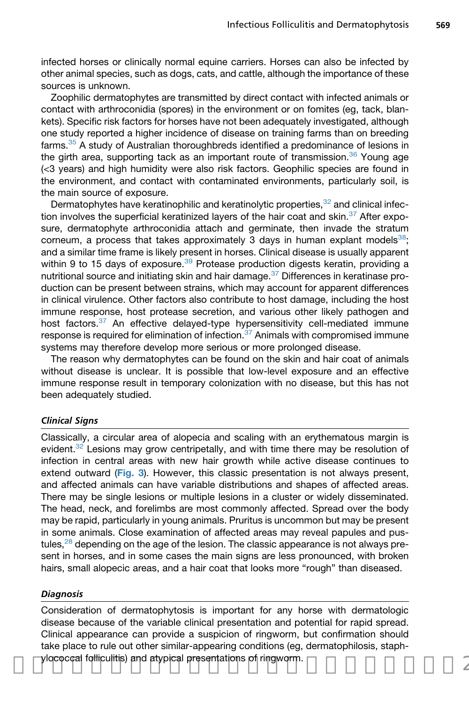infected horses or clinically normal equine carriers. Horses can also be infected by other animal species, such as dogs, cats, and cattle, although the importance of these sources is unknown.

Zoophilic dermatophytes are transmitted by direct contact with infected animals or contact with arthroconidia (spores) in the environment or on fomites (eg, tack, blankets). Specific risk factors for horses have not been adequately investigated, although one study reported a higher incidence of disease on training farms than on breeding farms.<sup>[35](#page-16-0)</sup> A study of Australian thoroughbreds identified a predominance of lesions in the girth area, supporting tack as an important route of transmission. $36$  Young age (<3 years) and high humidity were also risk factors. Geophilic species are found in the environment, and contact with contaminated environments, particularly soil, is the main source of exposure.

Dermatophytes have keratinophilic and keratinolytic properties,<sup>[32](#page-16-0)</sup> and clinical infection involves the superficial keratinized layers of the hair coat and skin. $37$  After exposure, dermatophyte arthroconidia attach and germinate, then invade the stratum corneum, a process that takes approximately 3 days in human explant models<sup>[38](#page-16-0)</sup>; and a similar time frame is likely present in horses. Clinical disease is usually apparent within 9 to 15 days of exposure.<sup>[39](#page-16-0)</sup> Protease production digests keratin, providing a nutritional source and initiating skin and hair damage.<sup>[37](#page-16-0)</sup> Differences in keratinase production can be present between strains, which may account for apparent differences in clinical virulence. Other factors also contribute to host damage, including the host immune response, host protease secretion, and various other likely pathogen and host factors.<sup>[37](#page-16-0)</sup> An effective delayed-type hypersensitivity cell-mediated immune response is required for elimination of infection. $37$  Animals with compromised immune systems may therefore develop more serious or more prolonged disease.

The reason why dermatophytes can be found on the skin and hair coat of animals without disease is unclear. It is possible that low-level exposure and an effective immune response result in temporary colonization with no disease, but this has not been adequately studied.

#### Clinical Signs

Classically, a circular area of alopecia and scaling with an erythematous margin is evident.<sup>[32](#page-16-0)</sup> Lesions may grow centripetally, and with time there may be resolution of infection in central areas with new hair growth while active disease continues to extend outward ([Fig. 3](#page-11-0)). However, this classic presentation is not always present, and affected animals can have variable distributions and shapes of affected areas. There may be single lesions or multiple lesions in a cluster or widely disseminated. The head, neck, and forelimbs are most commonly affected. Spread over the body may be rapid, particularly in young animals. Pruritus is uncommon but may be present in some animals. Close examination of affected areas may reveal papules and pustules, $28$  depending on the age of the lesion. The classic appearance is not always present in horses, and in some cases the main signs are less pronounced, with broken hairs, small alopecic areas, and a hair coat that looks more "rough" than diseased.

#### **Diagnosis**

ylococcal folliculitis) and atypical presentations of ringworm.<br>
A Consideration of dermatophytosis is important for any horse with dermatologic disease because of the variable clinical presentation and potential for rapid spread. Clinical appearance can provide a suspicion of ringworm, but confirmation should take place to rule out other similar-appearing conditions (eg, dermatophilosis, staph-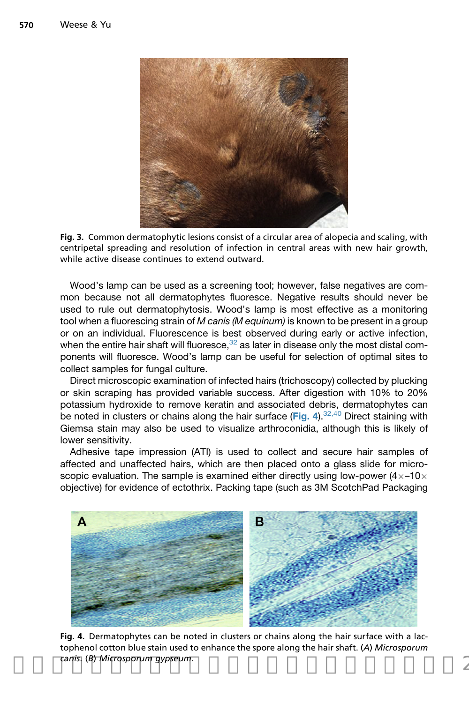<span id="page-11-0"></span>

Fig. 3. Common dermatophytic lesions consist of a circular area of alopecia and scaling, with centripetal spreading and resolution of infection in central areas with new hair growth, while active disease continues to extend outward.

Wood's lamp can be used as a screening tool; however, false negatives are common because not all dermatophytes fluoresce. Negative results should never be used to rule out dermatophytosis. Wood's lamp is most effective as a monitoring tool when a fluorescing strain of *M canis (M equinum)* is known to be present in a group or on an individual. Fluorescence is best observed during early or active infection, when the entire hair shaft will fluoresce,  $32$  as later in disease only the most distal components will fluoresce. Wood's lamp can be useful for selection of optimal sites to collect samples for fungal culture.

Direct microscopic examination of infected hairs (trichoscopy) collected by plucking or skin scraping has provided variable success. After digestion with 10% to 20% potassium hydroxide to remove keratin and associated debris, dermatophytes can be noted in clusters or chains along the hair surface (Fig. 4). [32,40](#page-16-0) Direct staining with Giemsa stain may also be used to visualize arthroconidia, although this is likely of lower sensitivity.

Adhesive tape impression (ATI) is used to collect and secure hair samples of affected and unaffected hairs, which are then placed onto a glass slide for microscopic evaluation. The sample is examined either directly using low-power  $(4\times -10\times$ objective) for evidence of ectothrix. Packing tape (such as 3M ScotchPad Packaging



canis. (B) Microsporum gypseum.<br>
E Fig. 4. Dermatophytes can be noted in clusters or chains along the hair surface with a lactophenol cotton blue stain used to enhance the spore along the hair shaft. (A) Microsporum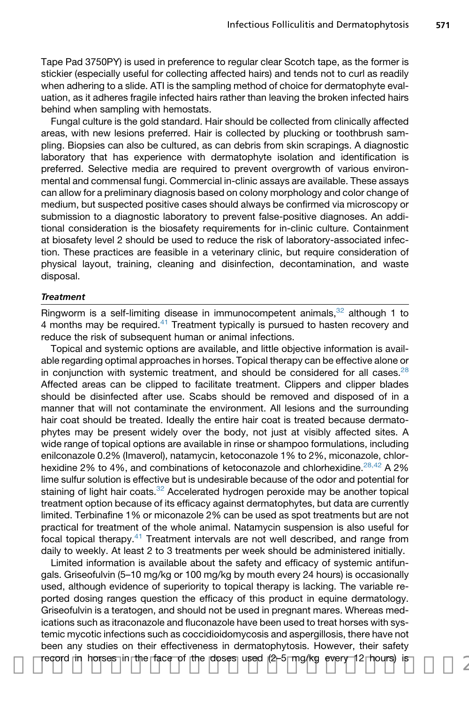Tape Pad 3750PY) is used in preference to regular clear Scotch tape, as the former is stickier (especially useful for collecting affected hairs) and tends not to curl as readily when adhering to a slide. ATI is the sampling method of choice for dermatophyte evaluation, as it adheres fragile infected hairs rather than leaving the broken infected hairs behind when sampling with hemostats.

Fungal culture is the gold standard. Hair should be collected from clinically affected areas, with new lesions preferred. Hair is collected by plucking or toothbrush sampling. Biopsies can also be cultured, as can debris from skin scrapings. A diagnostic laboratory that has experience with dermatophyte isolation and identification is preferred. Selective media are required to prevent overgrowth of various environmental and commensal fungi. Commercial in-clinic assays are available. These assays can allow for a preliminary diagnosis based on colony morphology and color change of medium, but suspected positive cases should always be confirmed via microscopy or submission to a diagnostic laboratory to prevent false-positive diagnoses. An additional consideration is the biosafety requirements for in-clinic culture. Containment at biosafety level 2 should be used to reduce the risk of laboratory-associated infection. These practices are feasible in a veterinary clinic, but require consideration of physical layout, training, cleaning and disinfection, decontamination, and waste disposal.

#### **Treatment**

Ringworm is a self-limiting disease in immunocompetent animals,<sup>[32](#page-16-0)</sup> although 1 to 4 months may be required.<sup>[41](#page-16-0)</sup> Treatment typically is pursued to hasten recovery and reduce the risk of subsequent human or animal infections.

Topical and systemic options are available, and little objective information is available regarding optimal approaches in horses. Topical therapy can be effective alone or in conjunction with systemic treatment, and should be considered for all cases. $^{28}$ Affected areas can be clipped to facilitate treatment. Clippers and clipper blades should be disinfected after use. Scabs should be removed and disposed of in a manner that will not contaminate the environment. All lesions and the surrounding hair coat should be treated. Ideally the entire hair coat is treated because dermatophytes may be present widely over the body, not just at visibly affected sites. A wide range of topical options are available in rinse or shampoo formulations, including enilconazole 0.2% (Imaverol), natamycin, ketoconazole 1% to 2%, miconazole, chlor-hexidine 2% to 4%, and combinations of ketoconazole and chlorhexidine.<sup>[28,42](#page-15-0)</sup> A 2% lime sulfur solution is effective but is undesirable because of the odor and potential for staining of light hair coats.<sup>32</sup> Accelerated hydrogen peroxide may be another topical treatment option because of its efficacy against dermatophytes, but data are currently limited. Terbinafine 1% or miconazole 2% can be used as spot treatments but are not practical for treatment of the whole animal. Natamycin suspension is also useful for focal topical therapy.[41](#page-16-0) Treatment intervals are not well described, and range from daily to weekly. At least 2 to 3 treatments per week should be administered initially.

record in horses in the face of the doses used (2–5 mg/kg every 12 hours) is  $\ell$ Limited information is available about the safety and efficacy of systemic antifungals. Griseofulvin (5–10 mg/kg or 100 mg/kg by mouth every 24 hours) is occasionally used, although evidence of superiority to topical therapy is lacking. The variable reported dosing ranges question the efficacy of this product in equine dermatology. Griseofulvin is a teratogen, and should not be used in pregnant mares. Whereas medications such as itraconazole and fluconazole have been used to treat horses with systemic mycotic infections such as coccidioidomycosis and aspergillosis, there have not been any studies on their effectiveness in dermatophytosis. However, their safety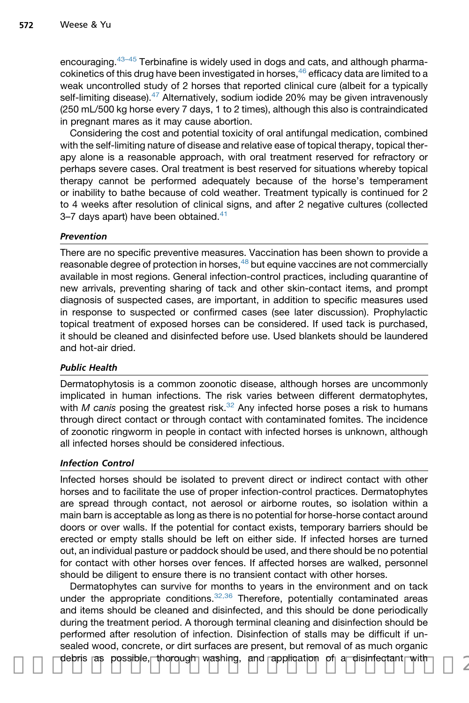encouraging.<sup>[43–45](#page-16-0)</sup> Terbinafine is widely used in dogs and cats, and although pharmacokinetics of this drug have been investigated in horses,  $46$  efficacy data are limited to a weak uncontrolled study of 2 horses that reported clinical cure (albeit for a typically self-limiting disease).<sup>[47](#page-16-0)</sup> Alternatively, sodium iodide 20% may be given intravenously (250 mL/500 kg horse every 7 days, 1 to 2 times), although this also is contraindicated in pregnant mares as it may cause abortion.

Considering the cost and potential toxicity of oral antifungal medication, combined with the self-limiting nature of disease and relative ease of topical therapy, topical therapy alone is a reasonable approach, with oral treatment reserved for refractory or perhaps severe cases. Oral treatment is best reserved for situations whereby topical therapy cannot be performed adequately because of the horse's temperament or inability to bathe because of cold weather. Treatment typically is continued for 2 to 4 weeks after resolution of clinical signs, and after 2 negative cultures (collected 3–7 days apart) have been obtained. $41$ 

## Prevention

There are no specific preventive measures. Vaccination has been shown to provide a reasonable degree of protection in horses,  $48$  but equine vaccines are not commercially available in most regions. General infection-control practices, including quarantine of new arrivals, preventing sharing of tack and other skin-contact items, and prompt diagnosis of suspected cases, are important, in addition to specific measures used in response to suspected or confirmed cases (see later discussion). Prophylactic topical treatment of exposed horses can be considered. If used tack is purchased, it should be cleaned and disinfected before use. Used blankets should be laundered and hot-air dried.

## Public Health

Dermatophytosis is a common zoonotic disease, although horses are uncommonly implicated in human infections. The risk varies between different dermatophytes, with *M canis* posing the greatest risk.<sup>[32](#page-16-0)</sup> Any infected horse poses a risk to humans through direct contact or through contact with contaminated fomites. The incidence of zoonotic ringworm in people in contact with infected horses is unknown, although all infected horses should be considered infectious.

# Infection Control

Infected horses should be isolated to prevent direct or indirect contact with other horses and to facilitate the use of proper infection-control practices. Dermatophytes are spread through contact, not aerosol or airborne routes, so isolation within a main barn is acceptable as long as there is no potential for horse-horse contact around doors or over walls. If the potential for contact exists, temporary barriers should be erected or empty stalls should be left on either side. If infected horses are turned out, an individual pasture or paddock should be used, and there should be no potential for contact with other horses over fences. If affected horses are walked, personnel should be diligent to ensure there is no transient contact with other horses.

debris as possible, thorough washing, and application of a disinfectant with  $\ell$ Dermatophytes can survive for months to years in the environment and on tack under the appropriate conditions. $32,36$  Therefore, potentially contaminated areas and items should be cleaned and disinfected, and this should be done periodically during the treatment period. A thorough terminal cleaning and disinfection should be performed after resolution of infection. Disinfection of stalls may be difficult if unsealed wood, concrete, or dirt surfaces are present, but removal of as much organic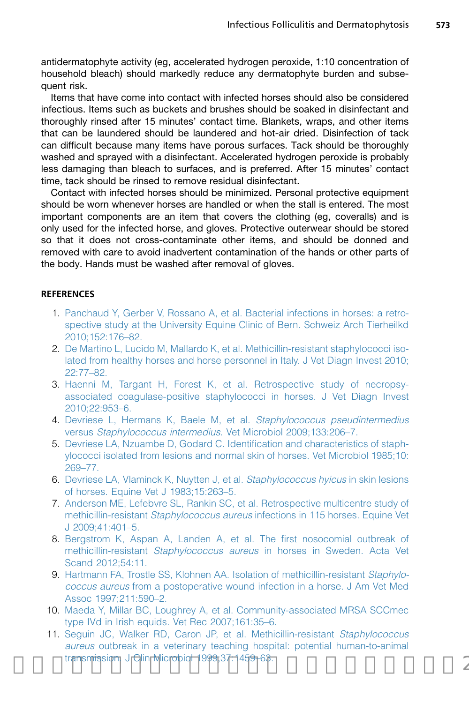<span id="page-14-0"></span>antidermatophyte activity (eg, accelerated hydrogen peroxide, 1:10 concentration of household bleach) should markedly reduce any dermatophyte burden and subsequent risk.

Items that have come into contact with infected horses should also be considered infectious. Items such as buckets and brushes should be soaked in disinfectant and thoroughly rinsed after 15 minutes' contact time. Blankets, wraps, and other items that can be laundered should be laundered and hot-air dried. Disinfection of tack can difficult because many items have porous surfaces. Tack should be thoroughly washed and sprayed with a disinfectant. Accelerated hydrogen peroxide is probably less damaging than bleach to surfaces, and is preferred. After 15 minutes' contact time, tack should be rinsed to remove residual disinfectant.

Contact with infected horses should be minimized. Personal protective equipment should be worn whenever horses are handled or when the stall is entered. The most important components are an item that covers the clothing (eg, coveralls) and is only used for the infected horse, and gloves. Protective outerwear should be stored so that it does not cross-contaminate other items, and should be donned and removed with care to avoid inadvertent contamination of the hands or other parts of the body. Hands must be washed after removal of gloves.

# **REFERENCES**

- 1. [Panchaud Y, Gerber V, Rossano A, et al. Bacterial infections in horses: a retro](http://refhub.elsevier.com/S0749-0739(13)00062-X/sref1)[spective study at the University Equine Clinic of Bern. Schweiz Arch Tierheilkd](http://refhub.elsevier.com/S0749-0739(13)00062-X/sref1) [2010;152:176–82.](http://refhub.elsevier.com/S0749-0739(13)00062-X/sref1)
- 2. [De Martino L, Lucido M, Mallardo K, et al. Methicillin-resistant staphylococci iso](http://refhub.elsevier.com/S0749-0739(13)00062-X/sref2)[lated from healthy horses and horse personnel in Italy. J Vet Diagn Invest 2010;](http://refhub.elsevier.com/S0749-0739(13)00062-X/sref2) [22:77–82.](http://refhub.elsevier.com/S0749-0739(13)00062-X/sref2)
- 3. [Haenni M, Targant H, Forest K, et al. Retrospective study of necropsy](http://refhub.elsevier.com/S0749-0739(13)00062-X/sref3)[associated coagulase-positive staphylococci in horses. J Vet Diagn Invest](http://refhub.elsevier.com/S0749-0739(13)00062-X/sref3) [2010;22:953–6.](http://refhub.elsevier.com/S0749-0739(13)00062-X/sref3)
- 4. [Devriese L, Hermans K, Baele M, et al.](http://refhub.elsevier.com/S0749-0739(13)00062-X/sref4) Staphylococcus pseudintermedius versus Staphylococcus intermedius[. Vet Microbiol 2009;133:206–7.](http://refhub.elsevier.com/S0749-0739(13)00062-X/sref4)
- 5. [Devriese LA, Nzuambe D, Godard C. Identification and characteristics of staph](http://refhub.elsevier.com/S0749-0739(13)00062-X/sref5)[ylococci isolated from lesions and normal skin of horses. Vet Microbiol 1985;10:](http://refhub.elsevier.com/S0749-0739(13)00062-X/sref5) [269–77.](http://refhub.elsevier.com/S0749-0739(13)00062-X/sref5)
- 6. [Devriese LA, Vlaminck K, Nuytten J, et al.](http://refhub.elsevier.com/S0749-0739(13)00062-X/sref6) Staphylococcus hyicus in skin lesions [of horses. Equine Vet J 1983;15:263–5.](http://refhub.elsevier.com/S0749-0739(13)00062-X/sref6)
- 7. [Anderson ME, Lefebvre SL, Rankin SC, et al. Retrospective multicentre study of](http://refhub.elsevier.com/S0749-0739(13)00062-X/sref7) methicillin-resistant Staphylococcus aureus [infections in 115 horses. Equine Vet](http://refhub.elsevier.com/S0749-0739(13)00062-X/sref7) [J 2009;41:401–5.](http://refhub.elsevier.com/S0749-0739(13)00062-X/sref7)
- 8. [Bergstrom K, Aspan A, Landen A, et al. The first nosocomial outbreak of](http://refhub.elsevier.com/S0749-0739(13)00062-X/sref8) methicillin-resistant Staphylococcus aureus [in horses in Sweden. Acta Vet](http://refhub.elsevier.com/S0749-0739(13)00062-X/sref8) [Scand 2012;54:11.](http://refhub.elsevier.com/S0749-0739(13)00062-X/sref8)
- 9. [Hartmann FA, Trostle SS, Klohnen AA. Isolation of methicillin-resistant](http://refhub.elsevier.com/S0749-0739(13)00062-X/sref9) Staphylococcus aureus [from a postoperative wound infection in a horse. J Am Vet Med](http://refhub.elsevier.com/S0749-0739(13)00062-X/sref9) [Assoc 1997;211:590–2.](http://refhub.elsevier.com/S0749-0739(13)00062-X/sref9)
- 10. [Maeda Y, Millar BC, Loughrey A, et al. Community-associated MRSA SCCmec](http://refhub.elsevier.com/S0749-0739(13)00062-X/sref10) [type IVd in Irish equids. Vet Rec 2007;161:35–6.](http://refhub.elsevier.com/S0749-0739(13)00062-X/sref10)
- transmission. J Clin Microbiol 1999;37:1459–63.<br>
A 11. [Seguin JC, Walker RD, Caron JP, et al. Methicillin-resistant](http://refhub.elsevier.com/S0749-0739(13)00062-X/sref11) Staphylococcus aureus [outbreak in a veterinary teaching hospital: potential human-to-animal](http://refhub.elsevier.com/S0749-0739(13)00062-X/sref11)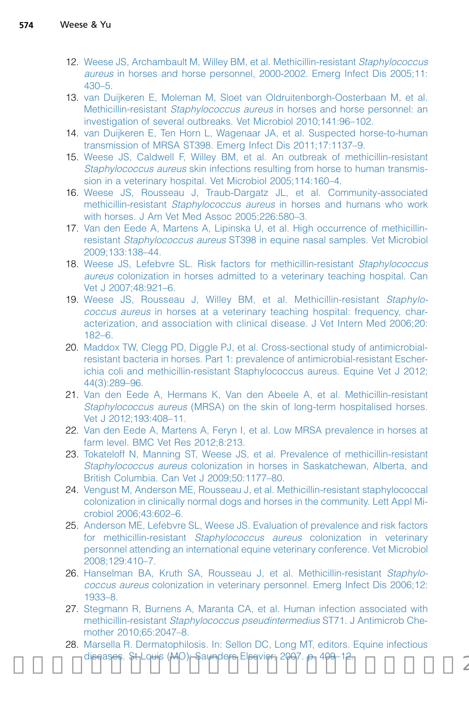- <span id="page-15-0"></span>12. [Weese JS, Archambault M, Willey BM, et al. Methicillin-resistant](http://refhub.elsevier.com/S0749-0739(13)00062-X/sref12) Staphylococcus aureus [in horses and horse personnel, 2000-2002. Emerg Infect Dis 2005;11:](http://refhub.elsevier.com/S0749-0739(13)00062-X/sref12) [430–5.](http://refhub.elsevier.com/S0749-0739(13)00062-X/sref12)
- 13. [van Duijkeren E, Moleman M, Sloet van Oldruitenborgh-Oosterbaan M, et al.](http://refhub.elsevier.com/S0749-0739(13)00062-X/sref13) Methicillin-resistant Staphylococcus aureus [in horses and horse personnel: an](http://refhub.elsevier.com/S0749-0739(13)00062-X/sref13) [investigation of several outbreaks. Vet Microbiol 2010;141:96–102.](http://refhub.elsevier.com/S0749-0739(13)00062-X/sref13)
- 14. [van Duijkeren E, Ten Horn L, Wagenaar JA, et al. Suspected horse-to-human](http://refhub.elsevier.com/S0749-0739(13)00062-X/sref14) [transmission of MRSA ST398. Emerg Infect Dis 2011;17:1137–9.](http://refhub.elsevier.com/S0749-0739(13)00062-X/sref14)
- 15. [Weese JS, Caldwell F, Willey BM, et al. An outbreak of methicillin-resistant](http://refhub.elsevier.com/S0749-0739(13)00062-X/sref15) Staphylococcus aureus [skin infections resulting from horse to human transmis](http://refhub.elsevier.com/S0749-0739(13)00062-X/sref15)[sion in a veterinary hospital. Vet Microbiol 2005;114:160–4.](http://refhub.elsevier.com/S0749-0739(13)00062-X/sref15)
- 16. [Weese JS, Rousseau J, Traub-Dargatz JL, et al. Community-associated](http://refhub.elsevier.com/S0749-0739(13)00062-X/sref16) methicillin-resistant Staphylococcus aureus [in horses and humans who work](http://refhub.elsevier.com/S0749-0739(13)00062-X/sref16) [with horses. J Am Vet Med Assoc 2005;226:580–3.](http://refhub.elsevier.com/S0749-0739(13)00062-X/sref16)
- 17. [Van den Eede A, Martens A, Lipinska U, et al. High occurrence of methicillin](http://refhub.elsevier.com/S0749-0739(13)00062-X/sref17)resistant Staphylococcus aureus [ST398 in equine nasal samples. Vet Microbiol](http://refhub.elsevier.com/S0749-0739(13)00062-X/sref17) [2009;133:138–44.](http://refhub.elsevier.com/S0749-0739(13)00062-X/sref17)
- 18. [Weese JS, Lefebvre SL. Risk factors for methicillin-resistant](http://refhub.elsevier.com/S0749-0739(13)00062-X/sref18) Staphylococcus aureus [colonization in horses admitted to a veterinary teaching hospital. Can](http://refhub.elsevier.com/S0749-0739(13)00062-X/sref18) [Vet J 2007;48:921–6.](http://refhub.elsevier.com/S0749-0739(13)00062-X/sref18)
- 19. [Weese JS, Rousseau J, Willey BM, et al. Methicillin-resistant](http://refhub.elsevier.com/S0749-0739(13)00062-X/sref19) Staphylococcus aureus [in horses at a veterinary teaching hospital: frequency, char](http://refhub.elsevier.com/S0749-0739(13)00062-X/sref19)[acterization, and association with clinical disease. J Vet Intern Med 2006;20:](http://refhub.elsevier.com/S0749-0739(13)00062-X/sref19) [182–6.](http://refhub.elsevier.com/S0749-0739(13)00062-X/sref19)
- 20. [Maddox TW, Clegg PD, Diggle PJ, et al. Cross-sectional study of antimicrobial](http://refhub.elsevier.com/S0749-0739(13)00062-X/sref20)[resistant bacteria in horses. Part 1: prevalence of antimicrobial-resistant Escher](http://refhub.elsevier.com/S0749-0739(13)00062-X/sref20)[ichia coli and methicillin-resistant Staphylococcus aureus. Equine Vet J 2012;](http://refhub.elsevier.com/S0749-0739(13)00062-X/sref20) [44\(3\):289–96.](http://refhub.elsevier.com/S0749-0739(13)00062-X/sref20)
- 21. [Van den Eede A, Hermans K, Van den Abeele A, et al. Methicillin-resistant](http://refhub.elsevier.com/S0749-0739(13)00062-X/sref21) Staphylococcus aureus [\(MRSA\) on the skin of long-term hospitalised horses.](http://refhub.elsevier.com/S0749-0739(13)00062-X/sref21) [Vet J 2012;193:408–11.](http://refhub.elsevier.com/S0749-0739(13)00062-X/sref21)
- 22. [Van den Eede A, Martens A, Feryn I, et al. Low MRSA prevalence in horses at](http://refhub.elsevier.com/S0749-0739(13)00062-X/sref22) [farm level. BMC Vet Res 2012;8:213.](http://refhub.elsevier.com/S0749-0739(13)00062-X/sref22)
- 23. [Tokateloff N, Manning ST, Weese JS, et al. Prevalence of methicillin-resistant](http://refhub.elsevier.com/S0749-0739(13)00062-X/sref23) Staphylococcus aureus [colonization in horses in Saskatchewan, Alberta, and](http://refhub.elsevier.com/S0749-0739(13)00062-X/sref23) [British Columbia. Can Vet J 2009;50:1177–80.](http://refhub.elsevier.com/S0749-0739(13)00062-X/sref23)
- 24. [Vengust M, Anderson ME, Rousseau J, et al. Methicillin-resistant staphylococcal](http://refhub.elsevier.com/S0749-0739(13)00062-X/sref24) [colonization in clinically normal dogs and horses in the community. Lett Appl Mi](http://refhub.elsevier.com/S0749-0739(13)00062-X/sref24)[crobiol 2006;43:602–6.](http://refhub.elsevier.com/S0749-0739(13)00062-X/sref24)
- 25. [Anderson ME, Lefebvre SL, Weese JS. Evaluation of prevalence and risk factors](http://refhub.elsevier.com/S0749-0739(13)00062-X/sref25) for methicillin-resistant Staphylococcus aureus [colonization in veterinary](http://refhub.elsevier.com/S0749-0739(13)00062-X/sref25) [personnel attending an international equine veterinary conference. Vet Microbiol](http://refhub.elsevier.com/S0749-0739(13)00062-X/sref25) [2008;129:410–7.](http://refhub.elsevier.com/S0749-0739(13)00062-X/sref25)
- 26. [Hanselman BA, Kruth SA, Rousseau J, et al. Methicillin-resistant](http://refhub.elsevier.com/S0749-0739(13)00062-X/sref26) Staphylococcus aureus [colonization in veterinary personnel. Emerg Infect Dis 2006;12:](http://refhub.elsevier.com/S0749-0739(13)00062-X/sref26) [1933–8.](http://refhub.elsevier.com/S0749-0739(13)00062-X/sref26)
- 27. [Stegmann R, Burnens A, Maranta CA, et al. Human infection associated with](http://refhub.elsevier.com/S0749-0739(13)00062-X/sref27) methicillin-resistant [Staphylococcus pseudintermedius](http://refhub.elsevier.com/S0749-0739(13)00062-X/sref27) ST71. J Antimicrob Che[mother 2010;65:2047–8.](http://refhub.elsevier.com/S0749-0739(13)00062-X/sref27)
- [diseases. St Louis \(MO\): Saunders Elsevier; 2007. p. 409–12.](http://refhub.elsevier.com/S0749-0739(13)00062-X/sref28)<br>4 28. [Marsella R. Dermatophilosis. In: Sellon DC, Long MT, editors. Equine infectious](http://refhub.elsevier.com/S0749-0739(13)00062-X/sref28)